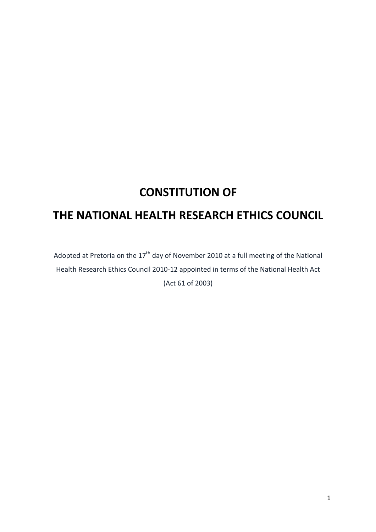# **CONSTITUTION OF**

## **THE NATIONAL HEALTH RESEARCH ETHICS COUNCIL**

Adopted at Pretoria on the  $17<sup>th</sup>$  day of November 2010 at a full meeting of the National Health Research Ethics Council 2010-12 appointed in terms of the National Health Act (Act 61 of 2003)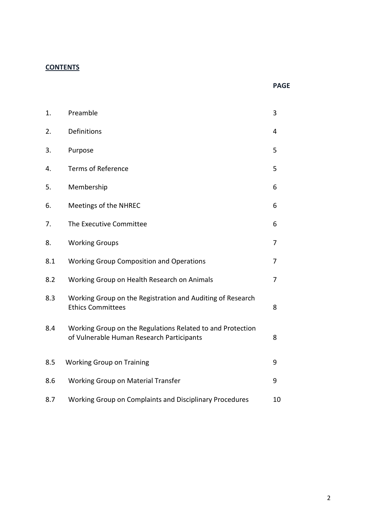## **CONTENTS**

| × |
|---|
|---|

| 1.  | Preamble                                                                                                | 3  |
|-----|---------------------------------------------------------------------------------------------------------|----|
| 2.  | Definitions                                                                                             | 4  |
| 3.  | Purpose                                                                                                 | 5  |
| 4.  | <b>Terms of Reference</b>                                                                               | 5  |
| 5.  | Membership                                                                                              | 6  |
| 6.  | Meetings of the NHREC                                                                                   | 6  |
| 7.  | The Executive Committee                                                                                 | 6  |
| 8.  | <b>Working Groups</b>                                                                                   | 7  |
| 8.1 | <b>Working Group Composition and Operations</b>                                                         | 7  |
| 8.2 | Working Group on Health Research on Animals                                                             | 7  |
| 8.3 | Working Group on the Registration and Auditing of Research<br><b>Ethics Committees</b>                  | 8  |
| 8.4 | Working Group on the Regulations Related to and Protection<br>of Vulnerable Human Research Participants | 8  |
| 8.5 | <b>Working Group on Training</b>                                                                        | 9  |
| 8.6 | Working Group on Material Transfer                                                                      | 9  |
| 8.7 | Working Group on Complaints and Disciplinary Procedures                                                 | 10 |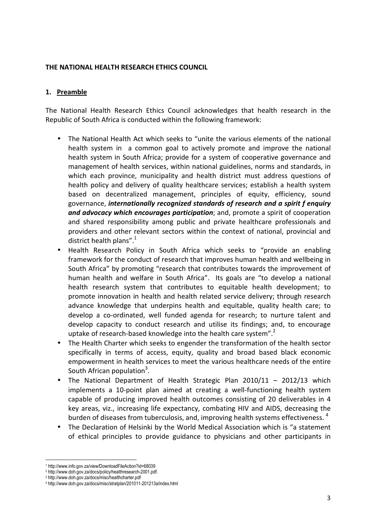#### **THE NATIONAL HEALTH RESEARCH ETHICS COUNCIL**

#### **1. Preamble**

The National Health Research Ethics Council acknowledges that health research in the Republic of South Africa is conducted within the following framework:

- The National Health Act which seeks to "unite the various elements of the national health system in a common goal to actively promote and improve the national health system in South Africa; provide for a system of cooperative governance and management of health services, within national guidelines, norms and standards, in which each province, municipality and health district must address questions of health policy and delivery of quality healthcare services; establish a health system based on decentralized management, principles of equity, efficiency, sound governance, *internationally recognized standards of research and a spirit f enquiry and advocacy which encourages participation*; and, promote a spirit of cooperation and shared responsibility among public and private healthcare professionals and providers and other relevant sectors within the context of national, provincial and district health plans". $1$
- Health Research Policy in South Africa which seeks to "provide an enabling framework for the conduct of research that improves human health and wellbeing in South Africa" by promoting "research that contributes towards the improvement of human health and welfare in South Africa". Its goals are "to develop a national health research system that contributes to equitable health development; to promote innovation in health and health related service delivery; through research advance knowledge that underpins health and equitable, quality health care; to develop a co-ordinated, well funded agenda for research; to nurture talent and develop capacity to conduct research and utilise its findings; and, to encourage uptake of research-based knowledge into the health care system".<sup>2</sup>
- The Health Charter which seeks to engender the transformation of the health sector specifically in terms of access, equity, quality and broad based black economic empowerment in health services to meet the various healthcare needs of the entire South African population<sup>3</sup>.
- The National Department of Health Strategic Plan 2010/11 2012/13 which implements a 10-point plan aimed at creating a well-functioning health system capable of producing improved health outcomes consisting of 20 deliverables in 4 key areas, viz., increasing life expectancy, combating HIV and AIDS, decreasing the burden of diseases from tuberculosis, and, improving health systems effectiveness.  $^4$
- The Declaration of Helsinki by the World Medical Association which is "a statement of ethical principles to provide guidance to physicians and other participants in

l

<sup>1</sup> http://www.info.gov.za/view/DownloadFileAction?id=68039

<sup>2</sup> http://www.doh.gov.za/docs/policy/healthresearch-2001.pdf.

<sup>3</sup> http://www.doh.gov.za/docs/misc/healthcharter.pdf

<sup>4</sup> http://www.doh.gov.za/docs/misc/stratplan/201011-201213a/index.html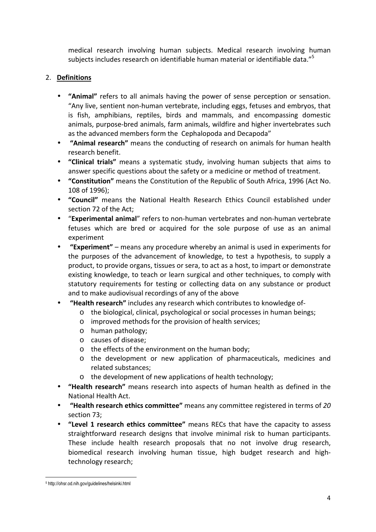medical research involving human subjects. Medical research involving human subjects includes research on identifiable human material or identifiable data."<sup>5</sup>

## 2. **Definitions**

- **"Animal"** refers to all animals having the power of sense perception or sensation. "Any live, sentient non-human vertebrate, including eggs, fetuses and embryos, that is fish, amphibians, reptiles, birds and mammals, and encompassing domestic animals, purpose-bred animals, farm animals, wildfire and higher invertebrates such as the advanced members form the Cephalopoda and Decapoda"
- **"Animal research"** means the conducting of research on animals for human health research benefit.
- **"Clinical trials"** means a systematic study, involving human subjects that aims to answer specific questions about the safety or a medicine or method of treatment.
- **"Constitution"** means the Constitution of the Republic of South Africa, 1996 (Act No. 108 of 1996);
- **"Council"** means the National Health Research Ethics Council established under section 72 of the Act;
- "**Experimental animal**" refers to non-human vertebrates and non-human vertebrate fetuses which are bred or acquired for the sole purpose of use as an animal experiment
- • **"Experiment"** means any procedure whereby an animal is used in experiments for the purposes of the advancement of knowledge, to test a hypothesis, to supply a product, to provide organs, tissues or sera, to act as a host, to impart or demonstrate existing knowledge, to teach or learn surgical and other techniques, to comply with statutory requirements for testing or collecting data on any substance or product and to make audiovisual recordings of any of the above
- • **"Health research"** includes any research which contributes to knowledge of
	- o the biological, clinical, psychological or social processes in human beings;
	- o improved methods for the provision of health services;
	- o human pathology;
	- o causes of disease;
	- o the effects of the environment on the human body;
	- o the development or new application of pharmaceuticals, medicines and related substances;
	- o the development of new applications of health technology;
- **"Health research"** means research into aspects of human health as defined in the National Health Act.
- • **"Health research ethics committee"** means any committee registered in terms of *20*  section 73;
- **"Level 1 research ethics committee"** means RECs that have the capacity to assess straightforward research designs that involve minimal risk to human participants. These include health research proposals that no not involve drug research, biomedical research involving human tissue, high budget research and hightechnology research;

 $\overline{a}$ 5 http://ohsr.od.nih.gov/guidelines/helsinki.html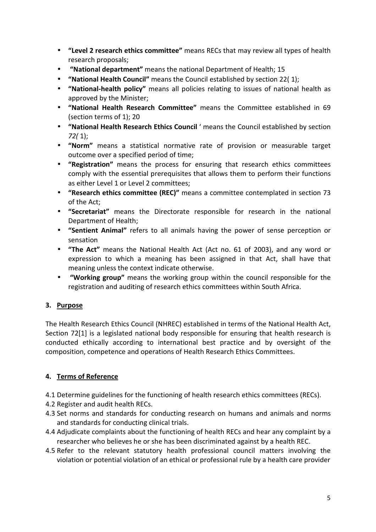- **"Level 2 research ethics committee"** means RECs that may review all types of health research proposals;
- • **"National department"** means the national Department of Health; 15
- **"National Health Council"** means the Council established by section 22( 1);
- **"National-health policy"** means all policies relating to issues of national health as approved by the Minister;
- **"National Health Research Committee"** means the Committee established in 69 (section terms of 1); 20
- **"National Health Research Ethics Council** ' means the Council established by section *72(* 1);
- **"Norm"** means a statistical normative rate of provision or measurable target outcome over a specified period of time;
- **"Registration"** means the process for ensuring that research ethics committees comply with the essential prerequisites that allows them to perform their functions as either Level 1 or Level 2 committees;
- **"Research ethics committee (REC)"** means a committee contemplated in section 73 of the Act;
- **"Secretariat"** means the Directorate responsible for research in the national Department of Health;
- **"Sentient Animal"** refers to all animals having the power of sense perception or sensation
- **"The Act"** means the National Health Act (Act no. 61 of 2003), and any word or expression to which a meaning has been assigned in that Act, shall have that meaning unless the context indicate otherwise.
- • **"Working group"** means the working group within the council responsible for the registration and auditing of research ethics committees within South Africa.

## **3. Purpose**

The Health Research Ethics Council (NHREC) established in terms of the National Health Act, Section 72[1] is a legislated national body responsible for ensuring that health research is conducted ethically according to international best practice and by oversight of the composition, competence and operations of Health Research Ethics Committees.

## **4. Terms of Reference**

- 4.1 Determine guidelines for the functioning of health research ethics committees (RECs).
- 4.2 Register and audit health RECs.
- 4.3 Set norms and standards for conducting research on humans and animals and norms and standards for conducting clinical trials.
- 4.4 Adjudicate complaints about the functioning of health RECs and hear any complaint by a researcher who believes he or she has been discriminated against by a health REC.
- 4.5 Refer to the relevant statutory health professional council matters involving the violation or potential violation of an ethical or professional rule by a health care provider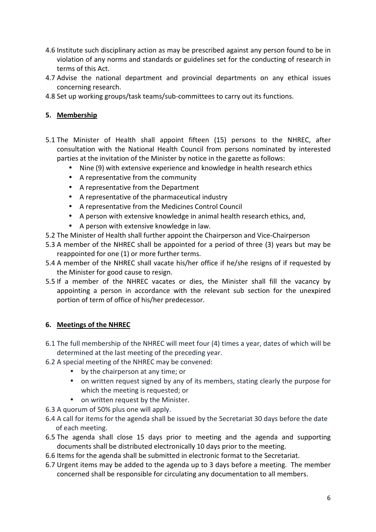- 4.6 Institute such disciplinary action as may be prescribed against any person found to be in violation of any norms and standards or guidelines set for the conducting of research in terms of this Act.
- 4.7 Advise the national department and provincial departments on any ethical issues concerning research.
- 4.8 Set up working groups/task teams/sub-committees to carry out its functions.

## **5. Membership**

- 5.1 The Minister of Health shall appoint fifteen (15) persons to the NHREC, after consultation with the National Health Council from persons nominated by interested parties at the invitation of the Minister by notice in the gazette as follows:
	- Nine (9) with extensive experience and knowledge in health research ethics
	- A representative from the community
	- A representative from the Department
	- A representative of the pharmaceutical industry
	- A representative from the Medicines Control Council
	- A person with extensive knowledge in animal health research ethics, and,
	- A person with extensive knowledge in law.
- 5.2 The Minister of Health shall further appoint the Chairperson and Vice-Chairperson
- 5.3 A member of the NHREC shall be appointed for a period of three (3) years but may be reappointed for one (1) or more further terms.
- 5.4 A member of the NHREC shall vacate his/her office if he/she resigns of if requested by the Minister for good cause to resign.
- 5.5 If a member of the NHREC vacates or dies, the Minister shall fill the vacancy by appointing a person in accordance with the relevant sub section for the unexpired portion of term of office of his/her predecessor.

#### **6. Meetings of the NHREC**

- 6.1 The full membership of the NHREC will meet four (4) times a year, dates of which will be determined at the last meeting of the preceding year.
- 6.2 A special meeting of the NHREC may be convened:
	- by the chairperson at any time; or
	- on written request signed by any of its members, stating clearly the purpose for which the meeting is requested; or
	- on written request by the Minister.
- 6.3 A quorum of 50% plus one will apply.
- 6.4 A call for items for the agenda shall be issued by the Secretariat 30 days before the date of each meeting.
- 6.5 The agenda shall close 15 days prior to meeting and the agenda and supporting documents shall be distributed electronically 10 days prior to the meeting.
- 6.6 Items for the agenda shall be submitted in electronic format to the Secretariat.
- 6.7 Urgent items may be added to the agenda up to 3 days before a meeting. The member concerned shall be responsible for circulating any documentation to all members.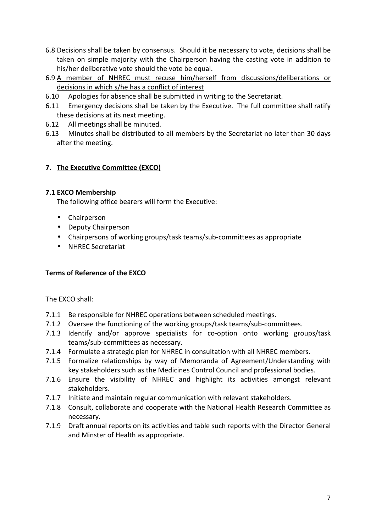- 6.8 Decisions shall be taken by consensus. Should it be necessary to vote, decisions shall be taken on simple majority with the Chairperson having the casting vote in addition to his/her deliberative vote should the vote be equal.
- 6.9 A member of NHREC must recuse him/herself from discussions/deliberations or decisions in which s/he has a conflict of interest
- 6.10 Apologies for absence shall be submitted in writing to the Secretariat.
- 6.11 Emergency decisions shall be taken by the Executive. The full committee shall ratify these decisions at its next meeting.
- 6.12 All meetings shall be minuted.
- 6.13 Minutes shall be distributed to all members by the Secretariat no later than 30 days after the meeting.

## **7. The Executive Committee (EXCO)**

#### **7.1 EXCO Membership**

The following office bearers will form the Executive:

- Chairperson
- Deputy Chairperson
- Chairpersons of working groups/task teams/sub-committees as appropriate
- NHREC Secretariat

#### **Terms of Reference of the EXCO**

The EXCO shall:

- 7.1.1 Be responsible for NHREC operations between scheduled meetings.
- 7.1.2 Oversee the functioning of the working groups/task teams/sub-committees.
- 7.1.3 Identify and/or approve specialists for co-option onto working groups/task teams/sub-committees as necessary.
- 7.1.4 Formulate a strategic plan for NHREC in consultation with all NHREC members.
- 7.1.5 Formalize relationships by way of Memoranda of Agreement/Understanding with key stakeholders such as the Medicines Control Council and professional bodies.
- 7.1.6 Ensure the visibility of NHREC and highlight its activities amongst relevant stakeholders.
- 7.1.7 Initiate and maintain regular communication with relevant stakeholders.
- 7.1.8 Consult, collaborate and cooperate with the National Health Research Committee as necessary.
- 7.1.9 Draft annual reports on its activities and table such reports with the Director General and Minster of Health as appropriate.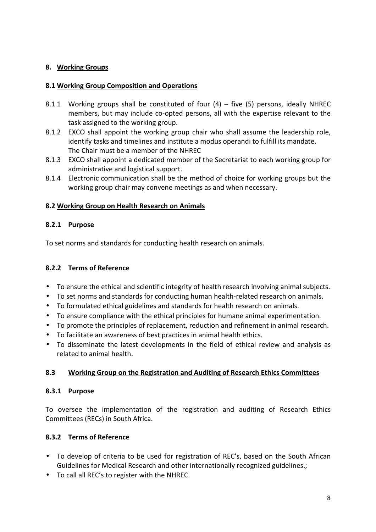## **8. Working Groups**

## **8.1 Working Group Composition and Operations**

- 8.1.1 Working groups shall be constituted of four (4) five (5) persons, ideally NHREC members, but may include co-opted persons, all with the expertise relevant to the task assigned to the working group.
- 8.1.2 EXCO shall appoint the working group chair who shall assume the leadership role, identify tasks and timelines and institute a modus operandi to fulfill its mandate. The Chair must be a member of the NHREC
- 8.1.3 EXCO shall appoint a dedicated member of the Secretariat to each working group for administrative and logistical support.
- 8.1.4 Electronic communication shall be the method of choice for working groups but the working group chair may convene meetings as and when necessary.

## **8.2 Working Group on Health Research on Animals**

## **8.2.1 Purpose**

To set norms and standards for conducting health research on animals.

## **8.2.2 Terms of Reference**

- To ensure the ethical and scientific integrity of health research involving animal subjects.
- To set norms and standards for conducting human health-related research on animals.
- To formulated ethical guidelines and standards for health research on animals.
- To ensure compliance with the ethical principles for humane animal experimentation.
- To promote the principles of replacement, reduction and refinement in animal research.
- To facilitate an awareness of best practices in animal health ethics.
- To disseminate the latest developments in the field of ethical review and analysis as related to animal health.

## **8.3 Working Group on the Registration and Auditing of Research Ethics Committees**

## **8.3.1 Purpose**

To oversee the implementation of the registration and auditing of Research Ethics Committees (RECs) in South Africa.

## **8.3.2 Terms of Reference**

- To develop of criteria to be used for registration of REC's, based on the South African Guidelines for Medical Research and other internationally recognized guidelines.;
- To call all REC's to register with the NHREC.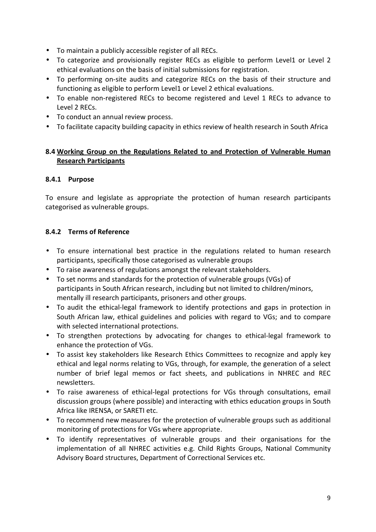- To maintain a publicly accessible register of all RECs.
- To categorize and provisionally register RECs as eligible to perform Level1 or Level 2 ethical evaluations on the basis of initial submissions for registration.
- To performing on-site audits and categorize RECs on the basis of their structure and functioning as eligible to perform Level1 or Level 2 ethical evaluations.
- To enable non-registered RECs to become registered and Level 1 RECs to advance to Level 2 RECs.
- To conduct an annual review process.
- To facilitate capacity building capacity in ethics review of health research in South Africa

## **8.4 Working Group on the Regulations Related to and Protection of Vulnerable Human Research Participants**

## **8.4.1 Purpose**

To ensure and legislate as appropriate the protection of human research participants categorised as vulnerable groups.

## **8.4.2 Terms of Reference**

- To ensure international best practice in the regulations related to human research participants, specifically those categorised as vulnerable groups
- To raise awareness of regulations amongst the relevant stakeholders.
- To set norms and standards for the protection of vulnerable groups (VGs) of participants in South African research, including but not limited to children/minors, mentally ill research participants, prisoners and other groups.
- To audit the ethical-legal framework to identify protections and gaps in protection in South African law, ethical guidelines and policies with regard to VGs; and to compare with selected international protections.
- To strengthen protections by advocating for changes to ethical-legal framework to enhance the protection of VGs.
- To assist key stakeholders like Research Ethics Committees to recognize and apply key ethical and legal norms relating to VGs, through, for example, the generation of a select number of brief legal memos or fact sheets, and publications in NHREC and REC newsletters.
- To raise awareness of ethical-legal protections for VGs through consultations, email discussion groups (where possible) and interacting with ethics education groups in South Africa like IRENSA, or SARETI etc.
- To recommend new measures for the protection of vulnerable groups such as additional monitoring of protections for VGs where appropriate.
- To identify representatives of vulnerable groups and their organisations for the implementation of all NHREC activities e.g. Child Rights Groups, National Community Advisory Board structures, Department of Correctional Services etc.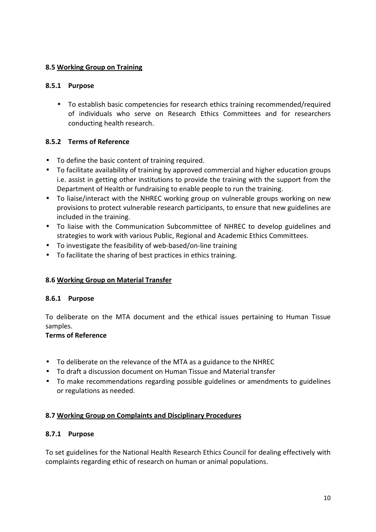#### **8.5 Working Group on Training**

## **8.5.1 Purpose**

• To establish basic competencies for research ethics training recommended/required of individuals who serve on Research Ethics Committees and for researchers conducting health research.

## **8.5.2 Terms of Reference**

- To define the basic content of training required.
- To facilitate availability of training by approved commercial and higher education groups i.e. assist in getting other institutions to provide the training with the support from the Department of Health or fundraising to enable people to run the training.
- To liaise/interact with the NHREC working group on vulnerable groups working on new provisions to protect vulnerable research participants, to ensure that new guidelines are included in the training.
- To liaise with the Communication Subcommittee of NHREC to develop guidelines and strategies to work with various Public, Regional and Academic Ethics Committees.
- To investigate the feasibility of web-based/on-line training
- To facilitate the sharing of best practices in ethics training.

#### **8.6 Working Group on Material Transfer**

#### **8.6.1 Purpose**

To deliberate on the MTA document and the ethical issues pertaining to Human Tissue samples.

## **Terms of Reference**

- To deliberate on the relevance of the MTA as a guidance to the NHREC
- To draft a discussion document on Human Tissue and Material transfer
- To make recommendations regarding possible guidelines or amendments to guidelines or regulations as needed.

#### **8.7 Working Group on Complaints and Disciplinary Procedures**

#### **8.7.1 Purpose**

To set guidelines for the National Health Research Ethics Council for dealing effectively with complaints regarding ethic of research on human or animal populations.